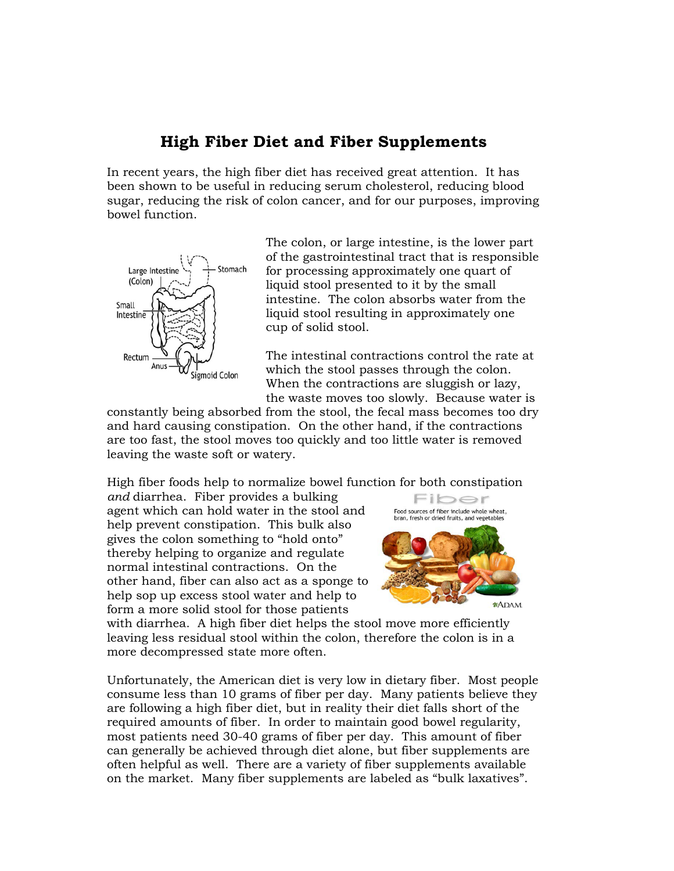## **High Fiber Diet and Fiber Supplements**

In recent years, the high fiber diet has received great attention. It has been shown to be useful in reducing serum cholesterol, reducing blood sugar, reducing the risk of colon cancer, and for our purposes, improving bowel function.



The colon, or large intestine, is the lower part of the gastrointestinal tract that is responsible for processing approximately one quart of liquid stool presented to it by the small intestine. The colon absorbs water from the liquid stool resulting in approximately one cup of solid stool.

The intestinal contractions control the rate at which the stool passes through the colon. When the contractions are sluggish or lazy, the waste moves too slowly. Because water is

constantly being absorbed from the stool, the fecal mass becomes too dry and hard causing constipation. On the other hand, if the contractions are too fast, the stool moves too quickly and too little water is removed leaving the waste soft or watery.

High fiber foods help to normalize bowel function for both constipation

*and* diarrhea. Fiber provides a bulking agent which can hold water in the stool and help prevent constipation. This bulk also gives the colon something to "hold onto" thereby helping to organize and regulate normal intestinal contractions. On the other hand, fiber can also act as a sponge to help sop up excess stool water and help to form a more solid stool for those patients



with diarrhea. A high fiber diet helps the stool move more efficiently leaving less residual stool within the colon, therefore the colon is in a more decompressed state more often.

Unfortunately, the American diet is very low in dietary fiber. Most people consume less than 10 grams of fiber per day. Many patients believe they are following a high fiber diet, but in reality their diet falls short of the required amounts of fiber. In order to maintain good bowel regularity, most patients need 30-40 grams of fiber per day. This amount of fiber can generally be achieved through diet alone, but fiber supplements are often helpful as well. There are a variety of fiber supplements available on the market. Many fiber supplements are labeled as "bulk laxatives".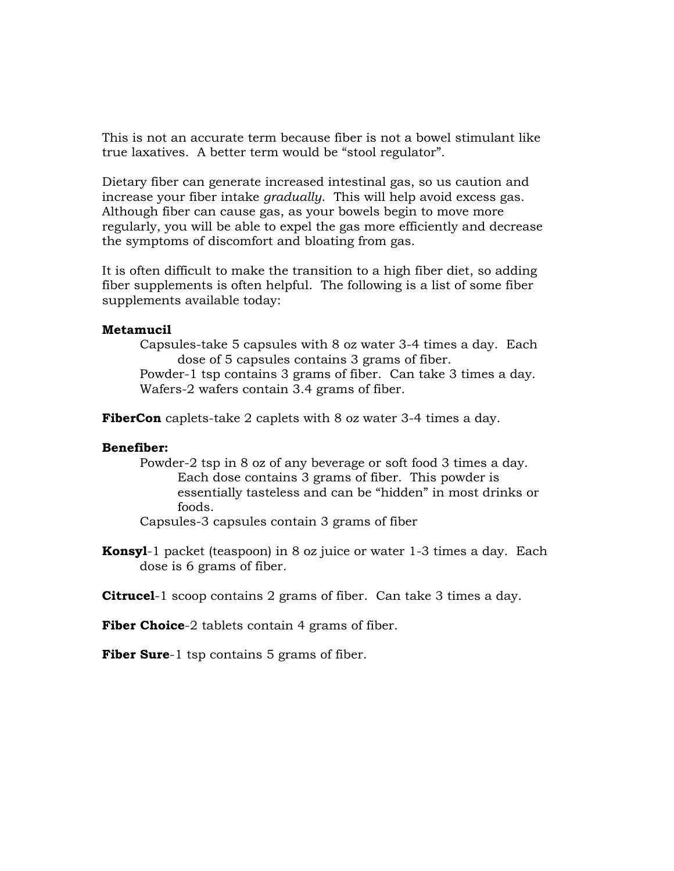This is not an accurate term because fiber is not a bowel stimulant like true laxatives. A better term would be "stool regulator".

Dietary fiber can generate increased intestinal gas, so us caution and increase your fiber intake *gradually*. This will help avoid excess gas. Although fiber can cause gas, as your bowels begin to move more regularly, you will be able to expel the gas more efficiently and decrease the symptoms of discomfort and bloating from gas.

It is often difficult to make the transition to a high fiber diet, so adding fiber supplements is often helpful. The following is a list of some fiber supplements available today:

## **Metamucil**

Capsules-take 5 capsules with 8 oz water 3-4 times a day. Each dose of 5 capsules contains 3 grams of fiber.

Powder-1 tsp contains 3 grams of fiber. Can take 3 times a day. Wafers-2 wafers contain 3.4 grams of fiber.

**FiberCon** caplets-take 2 caplets with 8 oz water 3-4 times a day.

## **Benefiber:**

Powder-2 tsp in 8 oz of any beverage or soft food 3 times a day. Each dose contains 3 grams of fiber. This powder is essentially tasteless and can be "hidden" in most drinks or foods.

Capsules-3 capsules contain 3 grams of fiber

**Konsyl**-1 packet (teaspoon) in 8 oz juice or water 1-3 times a day. Each dose is 6 grams of fiber.

**Citrucel**-1 scoop contains 2 grams of fiber. Can take 3 times a day.

Fiber Choice-2 tablets contain 4 grams of fiber.

**Fiber Sure**-1 tsp contains 5 grams of fiber.